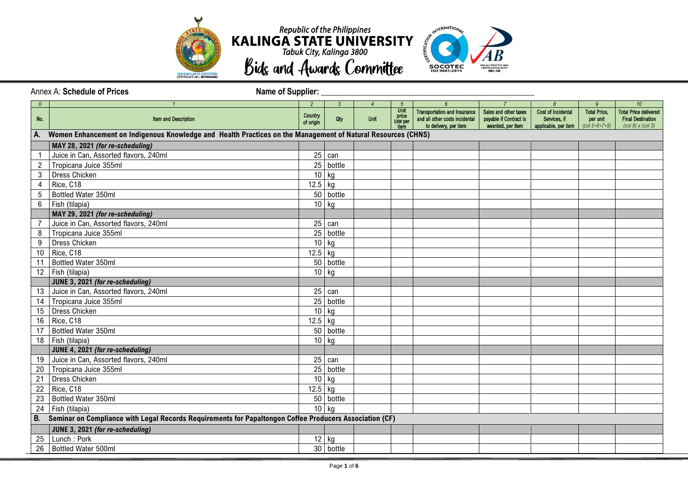



Annex A: Schedule of Prices Name of Supplier: *0 1 2 3 4 5 6 7 8 9 10* No. **If the and Description Country** of origin Qty | Unit Unit price EXW per item Transportation and Insurance and all other costs incidental to delivery, per item Sales and other taxes payable if Contract is awarded, per item Cost of Incidental Services, if applicable, per item Total Price, per unit *(col 5+6+7+8)* Total Price delivered Final Destination *(col 9) x (col 3)* **A. Women Enhancement on Indigenous Knowledge and Health Practices on the Management of Natural Resources (CHNS) MAY 28, 2021** *(for re-scheduling)* 1 Juice in Can, Assorted flavors, 240ml 25 can be can be can be can be can be can be can be can be can be can 2 Tropicana Juice 355ml 25 bottle 25 bottle 3 Dress Chicken 20 November 20 November 20 November 20 November 20 November 20 November 20 November 20 November 20 November 20 November 20 November 20 November 20 November 20 November 20 November 20 November 20 November 20 4 Rice, C18 12.5 kg 5 Bottled Water 350ml 50 bottle  $6 \mid$  Fish (tilapia) 10 kg **MAY 29, 2021** *(for re-scheduling)* 7 Juice in Can, Assorted flavors, 240ml 25 can be can be can be can be can be can be can be can be can be can 8 Tropicana Juice 355ml 25 bottle 25 bottle 25 bottle 25 bottle 25 bottle 25 bottle 9 Dress Chicken 10 kg and the state of the state of the state of the state of the state of the state of the state of the state of the state of the state of the state of the state of the state of the state of the state of t 10 Rice, C18 12.5 kg 11 Bottled Water 350ml 50 bottle 12 Fish (tilapia) 10 kg (10 kg (10 kg (10 kg (10 kg (10 kg (10 kg (10 kg (10 kg (10 kg (10 kg (10 kg (10 kg (1 **JUNE 3, 2021** *(for re-scheduling)* 13 Juice in Can, Assorted flavors, 240ml 25 can be exampled as a state of the can be exampled as  $\frac{25}{25}$  can 14 Tropicana Juice 355ml 25 bottle 15 Dress Chicken 10 kg 16 Rice, C18 12.5 kg 17 Bottled Water 350ml 50 bottle 18 Fish (tilapia) 10 kg (tilapia) 10 kg (tilapia) 10 kg (tilapia) 10 kg (tilapia) 10 kg (tilapia) 10 kg (tilapia) 10 kg (tilapia) 10 kg (tilapia) 10 kg (tilapia) 10 kg (tilapia) 10 kg (tilapia) 10 kg (tilapia) 10 kg (tilap **JUNE 4, 2021** *(for re-scheduling)* 19 Juice in Can, Assorted flavors, 240ml 25 can be exampled as a state of the can be exampled as  $\frac{25}{25}$  can 20 Tropicana Juice 355ml 25 bottle 21 Dress Chicken 20 November 20 November 20 November 20 November 20 November 20 November 20 November 20 November 20 November 20 November 20 November 20 November 20 November 20 November 20 November 20 November 20 November 2 22 Rice, C18 12.5 kg 23 Bottled Water 350ml 50 bottle  $24$  Fish (tilapia) 10 kg **B. Seminar on Compliance with Legal Records Requirements for Papaltongon Coffee Producers Association (CF) JUNE 3, 2021** *(for re-scheduling)* 25 Lunch : Pork 12 kg 26 Bottled Water 500ml 30 bottle 30 bottle 30 bottle 30 bottle 30 bottle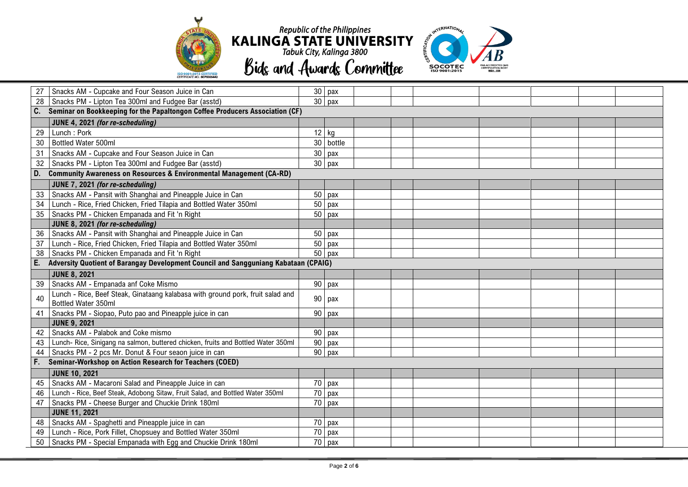



|             | Snacks AM - Cupcake and Four Season Juice in Can                                    |                 | $30$ pax            |  |  |  |  |  |  |  |
|-------------|-------------------------------------------------------------------------------------|-----------------|---------------------|--|--|--|--|--|--|--|
| 28          | Snacks PM - Lipton Tea 300ml and Fudgee Bar (asstd)                                 |                 | $30$ pax            |  |  |  |  |  |  |  |
|             | C. Seminar on Bookkeeping for the Papaltongon Coffee Producers Association (CF)     |                 |                     |  |  |  |  |  |  |  |
|             | JUNE 4, 2021 (for re-scheduling)                                                    |                 |                     |  |  |  |  |  |  |  |
| 29          | Lunch: Pork                                                                         | $12$ kg         |                     |  |  |  |  |  |  |  |
| 30          | Bottled Water 500ml                                                                 | 30 <sup>°</sup> | bottle              |  |  |  |  |  |  |  |
| 31          | Snacks AM - Cupcake and Four Season Juice in Can                                    | 30              | pax                 |  |  |  |  |  |  |  |
| 32          | Snacks PM - Lipton Tea 300ml and Fudgee Bar (asstd)                                 |                 | $30$ pax            |  |  |  |  |  |  |  |
| D.          | <b>Community Awareness on Resources &amp; Environmental Management (CA-RD)</b>      |                 |                     |  |  |  |  |  |  |  |
|             | JUNE 7, 2021 (for re-scheduling)                                                    |                 |                     |  |  |  |  |  |  |  |
| 33          | Snacks AM - Pansit with Shanghai and Pineapple Juice in Can                         | 50              | pax                 |  |  |  |  |  |  |  |
| 34          | Lunch - Rice, Fried Chicken, Fried Tilapia and Bottled Water 350ml                  | 50              | pax                 |  |  |  |  |  |  |  |
| 35          | Snacks PM - Chicken Empanada and Fit 'n Right                                       | 50              | pax                 |  |  |  |  |  |  |  |
|             | JUNE 8, 2021 (for re-scheduling)                                                    |                 |                     |  |  |  |  |  |  |  |
| 36          | Snacks AM - Pansit with Shanghai and Pineapple Juice in Can                         | 50              | pax                 |  |  |  |  |  |  |  |
| 37          | Lunch - Rice, Fried Chicken, Fried Tilapia and Bottled Water 350ml                  | 50              | pax                 |  |  |  |  |  |  |  |
| 38          | Snacks PM - Chicken Empanada and Fit 'n Right                                       |                 | $\overline{50}$ pax |  |  |  |  |  |  |  |
| E.          | Adversity Quotient of Barangay Development Council and Sangguniang Kabataan (CPAIG) |                 |                     |  |  |  |  |  |  |  |
|             | <b>JUNE 8, 2021</b>                                                                 |                 |                     |  |  |  |  |  |  |  |
| 39          | Snacks AM - Empanada anf Coke Mismo                                                 |                 | 90 pax              |  |  |  |  |  |  |  |
| 40          | Lunch - Rice, Beef Steak, Ginataang kalabasa with ground pork, fruit salad and      | 90              | pax                 |  |  |  |  |  |  |  |
|             | Bottled Water 350ml                                                                 |                 |                     |  |  |  |  |  |  |  |
| 41          | Snacks PM - Siopao, Puto pao and Pineapple juice in can                             | 90              | pax                 |  |  |  |  |  |  |  |
|             | <b>JUNE 9, 2021</b>                                                                 |                 |                     |  |  |  |  |  |  |  |
| 42          | Snacks AM - Palabok and Coke mismo                                                  | 90              | pax                 |  |  |  |  |  |  |  |
| 43          | Lunch-Rice, Sinigang na salmon, buttered chicken, fruits and Bottled Water 350ml    | 90              | pax                 |  |  |  |  |  |  |  |
| 44          | Snacks PM - 2 pcs Mr. Donut & Four seaon juice in can                               |                 | 90 pax              |  |  |  |  |  |  |  |
| $F_{\rm c}$ | Seminar-Workshop on Action Research for Teachers (COED)                             |                 |                     |  |  |  |  |  |  |  |
|             | <b>JUNE 10, 2021</b>                                                                |                 |                     |  |  |  |  |  |  |  |
| 45          | Snacks AM - Macaroni Salad and Pineapple Juice in can                               |                 | $70$ pax            |  |  |  |  |  |  |  |
| 46          | Lunch - Rice, Beef Steak, Adobong Sitaw, Fruit Salad, and Bottled Water 350ml       |                 | $70$ pax            |  |  |  |  |  |  |  |
| 47          | Snacks PM - Cheese Burger and Chuckie Drink 180ml                                   |                 | 70 pax              |  |  |  |  |  |  |  |
|             | <b>JUNE 11, 2021</b>                                                                |                 |                     |  |  |  |  |  |  |  |
| 48          | Snacks AM - Spaghetti and Pineapple juice in can                                    |                 | 70 pax              |  |  |  |  |  |  |  |
| 49          | Lunch - Rice, Pork Fillet, Chopsuey and Bottled Water 350ml                         | 70              | pax                 |  |  |  |  |  |  |  |
| 50          | Snacks PM - Special Empanada with Egg and Chuckie Drink 180ml                       |                 | 70 pax              |  |  |  |  |  |  |  |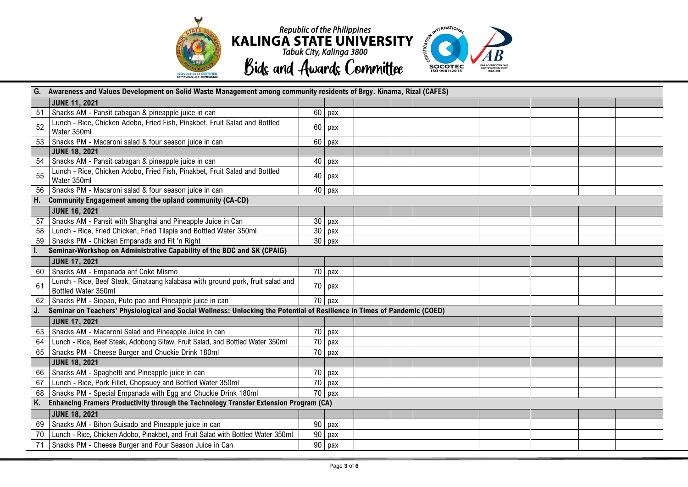

|    | Awareness and Values Development on Solid Waste Management among community residents of Brgy. Kinama, Rizal (CAFES)       |    |                     |  |  |  |  |  |  |  |
|----|---------------------------------------------------------------------------------------------------------------------------|----|---------------------|--|--|--|--|--|--|--|
|    | <b>JUNE 11, 2021</b>                                                                                                      |    |                     |  |  |  |  |  |  |  |
| 51 | Snacks AM - Pansit cabagan & pineapple juice in can                                                                       |    | $60$ pax            |  |  |  |  |  |  |  |
| 52 | Lunch - Rice, Chicken Adobo, Fried Fish, Pinakbet, Fruit Salad and Bottled                                                |    | $60$ pax            |  |  |  |  |  |  |  |
|    | Water 350ml                                                                                                               |    |                     |  |  |  |  |  |  |  |
| 53 | Snacks PM - Macaroni salad & four season juice in can                                                                     |    | $60$ pax            |  |  |  |  |  |  |  |
|    | <b>JUNE 18, 2021</b>                                                                                                      |    |                     |  |  |  |  |  |  |  |
| 54 | Snacks AM - Pansit cabagan & pineapple juice in can                                                                       |    | 40 pax              |  |  |  |  |  |  |  |
| 55 | Lunch - Rice, Chicken Adobo, Fried Fish, Pinakbet, Fruit Salad and Bottled<br>Water 350ml                                 |    | 40 pax              |  |  |  |  |  |  |  |
|    | Snacks PM - Macaroni salad & four season juice in can                                                                     |    | 40 pax              |  |  |  |  |  |  |  |
|    | <b>Community Engagement among the upland community (CA-CD)</b>                                                            |    |                     |  |  |  |  |  |  |  |
|    | <b>JUNE 16, 2021</b>                                                                                                      |    |                     |  |  |  |  |  |  |  |
| 57 | Snacks AM - Pansit with Shanghai and Pineapple Juice in Can                                                               |    | $30$ pax            |  |  |  |  |  |  |  |
| 58 | Lunch - Rice, Fried Chicken, Fried Tilapia and Bottled Water 350ml                                                        |    | $30$ pax            |  |  |  |  |  |  |  |
| 59 | Snacks PM - Chicken Empanada and Fit 'n Right                                                                             |    | $30$ pax            |  |  |  |  |  |  |  |
|    | Seminar-Workshop on Administrative Capability of the BDC and SK (CPAIG)                                                   |    |                     |  |  |  |  |  |  |  |
|    | <b>JUNE 17, 2021</b>                                                                                                      |    |                     |  |  |  |  |  |  |  |
| 60 | Snacks AM - Empanada anf Coke Mismo                                                                                       |    | $70$ pax            |  |  |  |  |  |  |  |
| 61 | Lunch - Rice, Beef Steak, Ginataang kalabasa with ground pork, fruit salad and<br>Bottled Water 350ml                     |    | 70 pax              |  |  |  |  |  |  |  |
|    | Snacks PM - Siopao, Puto pao and Pineapple juice in can                                                                   |    | $\overline{70}$ pax |  |  |  |  |  |  |  |
|    | Seminar on Teachers' Physiological and Social Wellness: Unlocking the Potential of Resilience in Times of Pandemic (COED) |    |                     |  |  |  |  |  |  |  |
|    | <b>JUNE 17, 2021</b>                                                                                                      |    |                     |  |  |  |  |  |  |  |
| 63 | Snacks AM - Macaroni Salad and Pineapple Juice in can                                                                     |    | $70$ pax            |  |  |  |  |  |  |  |
| 64 | Lunch - Rice, Beef Steak, Adobong Sitaw, Fruit Salad, and Bottled Water 350ml                                             | 70 | pax                 |  |  |  |  |  |  |  |
| 65 | Snacks PM - Cheese Burger and Chuckie Drink 180ml                                                                         |    | $70$ pax            |  |  |  |  |  |  |  |
|    | <b>JUNE 18, 2021</b>                                                                                                      |    |                     |  |  |  |  |  |  |  |
| 66 | Snacks AM - Spaghetti and Pineapple juice in can                                                                          |    | 70 pax              |  |  |  |  |  |  |  |
| 67 | Lunch - Rice, Pork Fillet, Chopsuey and Bottled Water 350ml                                                               | 70 | pax                 |  |  |  |  |  |  |  |
|    | Snacks PM - Special Empanada with Egg and Chuckie Drink 180ml                                                             |    | 70 pax              |  |  |  |  |  |  |  |
|    | Enhancing Framers Productivity through the Technology Transfer Extension Program (CA)                                     |    |                     |  |  |  |  |  |  |  |
|    | <b>JUNE 18, 2021</b>                                                                                                      |    |                     |  |  |  |  |  |  |  |
| 69 | Snacks AM - Bihon Guisado and Pineapple juice in can                                                                      | 90 | pax                 |  |  |  |  |  |  |  |
|    | Lunch - Rice, Chicken Adobo, Pinakbet, and Fruit Salad with Bottled Water 350ml                                           | 90 | pax                 |  |  |  |  |  |  |  |
| 71 | Snacks PM - Cheese Burger and Four Season Juice in Can                                                                    |    | $90$ pax            |  |  |  |  |  |  |  |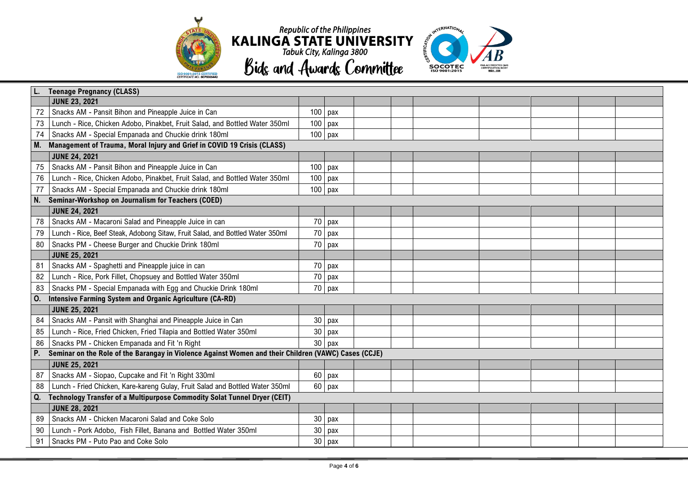

 $\overline{\phantom{a}}$ 



|    | <b>Teenage Pregnancy (CLASS)</b>                                                                     |        |           |  |  |  |  |  |  |  |
|----|------------------------------------------------------------------------------------------------------|--------|-----------|--|--|--|--|--|--|--|
|    | <b>JUNE 23, 2021</b>                                                                                 |        |           |  |  |  |  |  |  |  |
| 72 | Snacks AM - Pansit Bihon and Pineapple Juice in Can                                                  | 100    | pax       |  |  |  |  |  |  |  |
| 73 | Lunch - Rice, Chicken Adobo, Pinakbet, Fruit Salad, and Bottled Water 350ml                          | 100    | pax       |  |  |  |  |  |  |  |
| 74 | Snacks AM - Special Empanada and Chuckie drink 180ml                                                 |        | $100$ pax |  |  |  |  |  |  |  |
| M. | Management of Trauma, Moral Injury and Grief in COVID 19 Crisis (CLASS)                              |        |           |  |  |  |  |  |  |  |
|    | <b>JUNE 24, 2021</b>                                                                                 |        |           |  |  |  |  |  |  |  |
| 75 | Snacks AM - Pansit Bihon and Pineapple Juice in Can                                                  | 100    | pax       |  |  |  |  |  |  |  |
| 76 | Lunch - Rice, Chicken Adobo, Pinakbet, Fruit Salad, and Bottled Water 350ml                          | 100    | pax       |  |  |  |  |  |  |  |
| 77 | Snacks AM - Special Empanada and Chuckie drink 180ml                                                 | 100    | pax       |  |  |  |  |  |  |  |
| N. | Seminar-Workshop on Journalism for Teachers (COED)                                                   |        |           |  |  |  |  |  |  |  |
|    | <b>JUNE 24, 2021</b>                                                                                 |        |           |  |  |  |  |  |  |  |
| 78 | Snacks AM - Macaroni Salad and Pineapple Juice in can                                                | 70     | pax       |  |  |  |  |  |  |  |
| 79 | Lunch - Rice, Beef Steak, Adobong Sitaw, Fruit Salad, and Bottled Water 350ml                        | 70     | pax       |  |  |  |  |  |  |  |
| 80 | Snacks PM - Cheese Burger and Chuckie Drink 180ml                                                    | 70     | pax       |  |  |  |  |  |  |  |
|    | <b>JUNE 25, 2021</b>                                                                                 |        |           |  |  |  |  |  |  |  |
| 81 | Snacks AM - Spaghetti and Pineapple juice in can                                                     | 70     | pax       |  |  |  |  |  |  |  |
| 82 | Lunch - Rice, Pork Fillet, Chopsuey and Bottled Water 350ml                                          | 70     | pax       |  |  |  |  |  |  |  |
| 83 | Snacks PM - Special Empanada with Egg and Chuckie Drink 180ml                                        |        | 70 pax    |  |  |  |  |  |  |  |
| 0. | Intensive Farming System and Organic Agriculture (CA-RD)                                             |        |           |  |  |  |  |  |  |  |
|    | <b>JUNE 25, 2021</b>                                                                                 |        |           |  |  |  |  |  |  |  |
| 84 | Snacks AM - Pansit with Shanghai and Pineapple Juice in Can                                          | 30     | pax       |  |  |  |  |  |  |  |
| 85 | Lunch - Rice, Fried Chicken, Fried Tilapia and Bottled Water 350ml                                   | $30\,$ | pax       |  |  |  |  |  |  |  |
| 86 | Snacks PM - Chicken Empanada and Fit 'n Right                                                        | 30     | pax       |  |  |  |  |  |  |  |
| P. | Seminar on the Role of the Barangay in Violence Against Women and their Children (VAWC) Cases (CCJE) |        |           |  |  |  |  |  |  |  |
|    | <b>JUNE 25, 2021</b>                                                                                 |        |           |  |  |  |  |  |  |  |
| 87 | Snacks AM - Siopao, Cupcake and Fit 'n Right 330ml                                                   |        | 60 pax    |  |  |  |  |  |  |  |
| 88 | Lunch - Fried Chicken, Kare-kareng Gulay, Fruit Salad and Bottled Water 350ml                        |        | 60 pax    |  |  |  |  |  |  |  |
| Q. | Technology Transfer of a Multipurpose Commodity Solat Tunnel Dryer (CEIT)                            |        |           |  |  |  |  |  |  |  |
|    | <b>JUNE 28, 2021</b>                                                                                 |        |           |  |  |  |  |  |  |  |
| 89 | Snacks AM - Chicken Macaroni Salad and Coke Solo                                                     | 30     | pax       |  |  |  |  |  |  |  |
| 90 | Lunch - Pork Adobo, Fish Fillet, Banana and Bottled Water 350ml                                      | 30     | рах       |  |  |  |  |  |  |  |
| 91 | Snacks PM - Puto Pao and Coke Solo                                                                   |        | 30 pax    |  |  |  |  |  |  |  |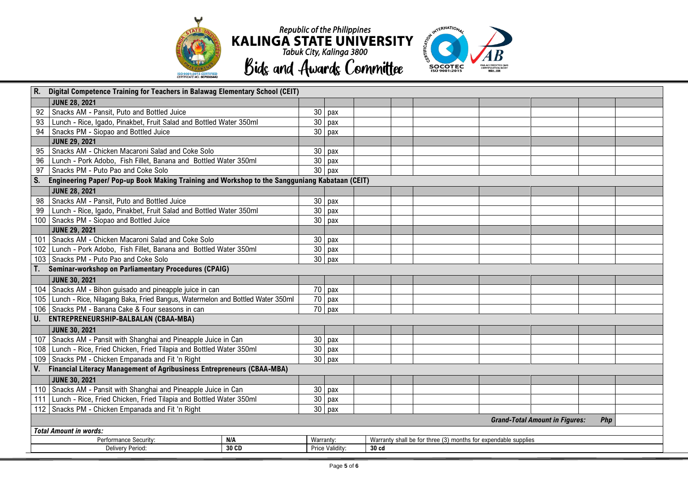



| R.                            | Digital Competence Training for Teachers in Balawag Elementary School (CEIT)                   |       |                 |                 |                                                                |  |  |  |  |  |  |  |
|-------------------------------|------------------------------------------------------------------------------------------------|-------|-----------------|-----------------|----------------------------------------------------------------|--|--|--|--|--|--|--|
|                               | <b>JUNE 28, 2021</b>                                                                           |       |                 |                 |                                                                |  |  |  |  |  |  |  |
| 92                            | Snacks AM - Pansit, Puto and Bottled Juice                                                     |       | 30              | pax             |                                                                |  |  |  |  |  |  |  |
| 93                            | Lunch - Rice, Igado, Pinakbet, Fruit Salad and Bottled Water 350ml                             |       | 30              | pax             |                                                                |  |  |  |  |  |  |  |
| 94                            | Snacks PM - Siopao and Bottled Juice                                                           |       | 30              | pax             |                                                                |  |  |  |  |  |  |  |
|                               | <b>JUNE 29, 2021</b>                                                                           |       |                 |                 |                                                                |  |  |  |  |  |  |  |
| 95                            | Snacks AM - Chicken Macaroni Salad and Coke Solo                                               |       | 30              | pax             |                                                                |  |  |  |  |  |  |  |
| 96                            | Lunch - Pork Adobo, Fish Fillet, Banana and Bottled Water 350ml                                |       | 30              | pax             |                                                                |  |  |  |  |  |  |  |
| 97                            | Snacks PM - Puto Pao and Coke Solo                                                             |       | 30 <sup>°</sup> | pax             |                                                                |  |  |  |  |  |  |  |
| S.                            | Engineering Paper/ Pop-up Book Making Training and Workshop to the Sangguniang Kabataan (CEIT) |       |                 |                 |                                                                |  |  |  |  |  |  |  |
|                               | <b>JUNE 28, 2021</b>                                                                           |       |                 |                 |                                                                |  |  |  |  |  |  |  |
| 98                            | Snacks AM - Pansit, Puto and Bottled Juice                                                     |       | 30              | pax             |                                                                |  |  |  |  |  |  |  |
| 99                            | Lunch - Rice, Igado, Pinakbet, Fruit Salad and Bottled Water 350ml                             |       | $\overline{30}$ | pax             |                                                                |  |  |  |  |  |  |  |
|                               | 100 Snacks PM - Siopao and Bottled Juice                                                       |       | 30              | pax             |                                                                |  |  |  |  |  |  |  |
|                               | <b>JUNE 29, 2021</b>                                                                           |       |                 |                 |                                                                |  |  |  |  |  |  |  |
|                               | 101   Snacks AM - Chicken Macaroni Salad and Coke Solo                                         |       | 30              | рах             |                                                                |  |  |  |  |  |  |  |
|                               | 102   Lunch - Pork Adobo, Fish Fillet, Banana and Bottled Water 350ml                          |       | 30              | pax             |                                                                |  |  |  |  |  |  |  |
|                               | 103   Snacks PM - Puto Pao and Coke Solo                                                       |       | 30              | pax             |                                                                |  |  |  |  |  |  |  |
|                               | <b>Q</b><br>Seminar-workshop on Parliamentary Procedures (CPAIG)                               |       |                 |                 |                                                                |  |  |  |  |  |  |  |
|                               | <b>JUNE 30, 2021</b>                                                                           |       |                 |                 |                                                                |  |  |  |  |  |  |  |
|                               | 104 Snacks AM - Bihon guisado and pineapple juice in can                                       |       | 70              | pax             |                                                                |  |  |  |  |  |  |  |
|                               | 105 Lunch - Rice, Nilagang Baka, Fried Bangus, Watermelon and Bottled Water 350ml              |       | 70              | pax             |                                                                |  |  |  |  |  |  |  |
|                               | 106   Snacks PM - Banana Cake & Four seasons in can                                            |       |                 | 70 pax          |                                                                |  |  |  |  |  |  |  |
|                               | U. ENTREPRENEURSHIP-BALBALAN (CBAA-MBA)                                                        |       |                 |                 |                                                                |  |  |  |  |  |  |  |
|                               | <b>JUNE 30, 2021</b>                                                                           |       |                 |                 |                                                                |  |  |  |  |  |  |  |
|                               | 107   Snacks AM - Pansit with Shanghai and Pineapple Juice in Can                              |       | 30              | pax             |                                                                |  |  |  |  |  |  |  |
|                               | 108 Lunch - Rice, Fried Chicken, Fried Tilapia and Bottled Water 350ml                         |       | 30              | pax             |                                                                |  |  |  |  |  |  |  |
|                               | 109 Snacks PM - Chicken Empanada and Fit 'n Right                                              |       |                 | $30$ pax        |                                                                |  |  |  |  |  |  |  |
|                               | V. Financial Literacy Management of Agribusiness Entrepreneurs (CBAA-MBA)                      |       |                 |                 |                                                                |  |  |  |  |  |  |  |
|                               | <b>JUNE 30, 2021</b>                                                                           |       |                 |                 |                                                                |  |  |  |  |  |  |  |
|                               | 110 Snacks AM - Pansit with Shanghai and Pineapple Juice in Can                                |       | 30              | pax             |                                                                |  |  |  |  |  |  |  |
|                               | 111 Lunch - Rice, Fried Chicken, Fried Tilapia and Bottled Water 350ml                         |       | $\overline{30}$ | pax             |                                                                |  |  |  |  |  |  |  |
|                               | 112 Snacks PM - Chicken Empanada and Fit 'n Right                                              |       | $\overline{30}$ | pax             |                                                                |  |  |  |  |  |  |  |
|                               | <b>Grand-Total Amount in Figures:</b><br>Php                                                   |       |                 |                 |                                                                |  |  |  |  |  |  |  |
| <b>Total Amount in words:</b> |                                                                                                |       |                 |                 |                                                                |  |  |  |  |  |  |  |
|                               | Performance Security:<br>N/A                                                                   |       |                 |                 | Warranty shall be for three (3) months for expendable supplies |  |  |  |  |  |  |  |
|                               | Delivery Period:                                                                               | 30 CD |                 | Price Validity: | 30 cd                                                          |  |  |  |  |  |  |  |